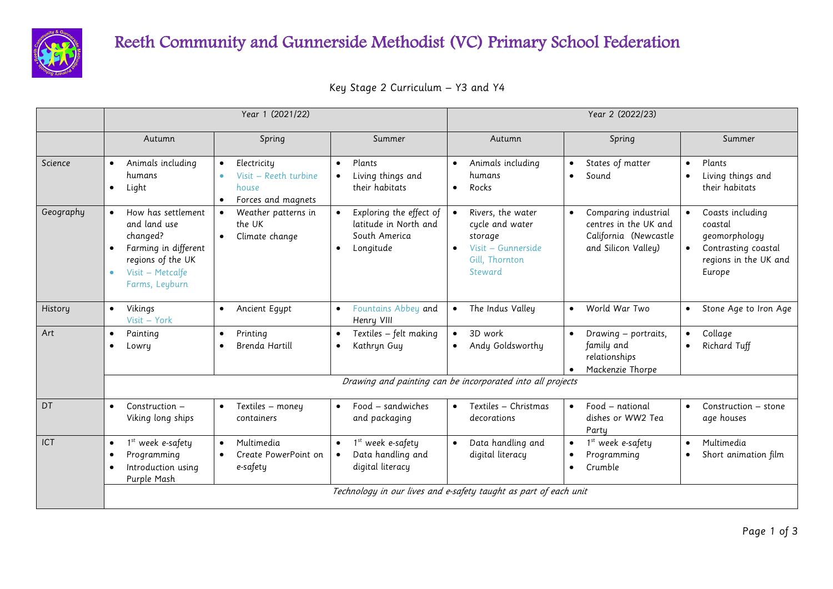

## Reeth Community and Gunnerside Methodist (VC) Primary School Federation

| Key Stage 2 Curriculum – Y3 and Y4 |  |  |  |
|------------------------------------|--|--|--|
|------------------------------------|--|--|--|

|           |                                                                                                                                                             | Year 1 (2021/22)                                                                                           |                                                                                | Year 2 (2022/23)                                                                                   |                                                                                               |                                                                                                                     |  |  |  |
|-----------|-------------------------------------------------------------------------------------------------------------------------------------------------------------|------------------------------------------------------------------------------------------------------------|--------------------------------------------------------------------------------|----------------------------------------------------------------------------------------------------|-----------------------------------------------------------------------------------------------|---------------------------------------------------------------------------------------------------------------------|--|--|--|
|           | Autumn                                                                                                                                                      | Spring                                                                                                     | Summer                                                                         | Autumn                                                                                             | Spring                                                                                        | Summer                                                                                                              |  |  |  |
| Science   | Animals including<br>humans<br>Light<br>$\bullet$                                                                                                           | Electricity<br>$\bullet$<br>Visit - Reeth turbine<br>$\bullet$<br>house<br>Forces and magnets<br>$\bullet$ | Plants<br>Living things and<br>their habitats                                  | Animals including<br>$\bullet$<br>humans<br>Rocks<br>$\bullet$                                     | States of matter<br>Sound<br>$\bullet$                                                        | Plants<br>$\bullet$<br>Living things and<br>their habitats                                                          |  |  |  |
| Geography | How has settlement<br>$\bullet$<br>and land use<br>changed?<br>Farming in different<br>regions of the UK<br>Visit - Metcalfe<br>$\bullet$<br>Farms, Leyburn | Weather patterns in<br>$\bullet$<br>the UK<br>Climate change<br>$\bullet$                                  | Exploring the effect of<br>latitude in North and<br>South America<br>Longitude | Rivers, the water<br>cycle and water<br>storage<br>Visit - Gunnerside<br>Gill, Thornton<br>Steward | Comparing industrial<br>centres in the UK and<br>California (Newcastle<br>and Silicon Valley) | Coasts including<br>coastal<br>geomorphology<br>Contrasting coastal<br>$\bullet$<br>regions in the UK and<br>Europe |  |  |  |
| History   | Vikings<br>$\bullet$<br>Visit - York                                                                                                                        | Ancient Egypt<br>$\bullet$                                                                                 | Fountains Abbey and<br>$\bullet$<br>Henry VIII                                 | The Indus Valley                                                                                   | World War Two<br>$\bullet$                                                                    | Stone Age to Iron Age                                                                                               |  |  |  |
| Art       | Painting<br>$\bullet$<br>Lowry<br>$\bullet$                                                                                                                 | Printing<br>$\bullet$<br>Brenda Hartill<br>$\bullet$                                                       | Textiles - felt making<br>$\bullet$<br>Kathryn Guy<br>٠                        | 3D work<br>$\bullet$<br>Andy Goldsworthy<br>$\bullet$                                              | Drawing - portraits,<br>$\bullet$<br>family and<br>relationships<br>Mackenzie Thorpe          | Collage<br>$\bullet$<br>Richard Tuff<br>$\bullet$                                                                   |  |  |  |
|           | Drawing and painting can be incorporated into all projects                                                                                                  |                                                                                                            |                                                                                |                                                                                                    |                                                                                               |                                                                                                                     |  |  |  |
| DT        | Construction -<br>Viking long ships                                                                                                                         | Textiles - money<br>$\bullet$<br>containers                                                                | Food - sandwiches<br>$\bullet$<br>and packaging                                | Textiles - Christmas<br>decorations                                                                | Food - national<br>dishes or WW2 Tea<br>Party                                                 | Construction - stone<br>$\bullet$<br>age houses                                                                     |  |  |  |
| ICT       | 1st week e-safety<br>$\bullet$<br>Programming<br>$\bullet$<br>Introduction using<br>$\bullet$<br>Purple Mash                                                | Multimedia<br>$\bullet$<br>Create PowerPoint on<br>e-safety                                                | 1st week e-safety<br>Data handling and<br>$\bullet$<br>digital literacy        | Data handling and<br>digital literacy                                                              | 1 <sup>st</sup> week e-safety<br>$\bullet$<br>Programming<br>Crumble<br>$\bullet$             | Multimedia<br>$\bullet$<br>Short animation film<br>$\bullet$                                                        |  |  |  |
|           | Technology in our lives and e-safety taught as part of each unit                                                                                            |                                                                                                            |                                                                                |                                                                                                    |                                                                                               |                                                                                                                     |  |  |  |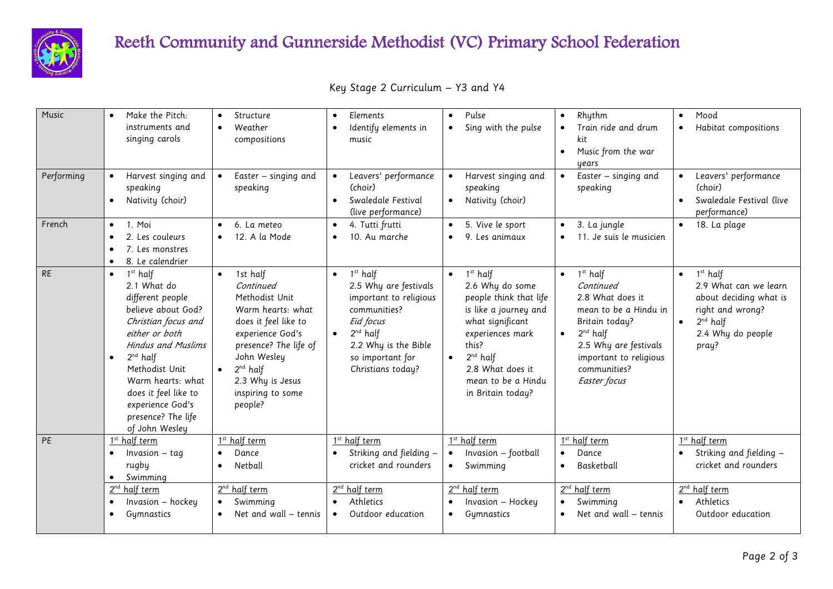

## Reeth Community and Gunnerside Methodist (VC) Primary School Federation

| Music      | Make the Pitch:<br>instruments and<br>singing carols                                                                                                                                                                                                                                                                      | Structure<br>Weather<br>compositions                                                                                                                                                                                                            | Elements<br>$\bullet$<br>Identify elements in<br>music                                                                                                                                              | Pulse<br>$\bullet$<br>Sing with the pulse                                                                                                                                                                                                | Rhythm<br>$\bullet$<br>Train ride and drum<br>kit<br>Music from the war<br>$\bullet$<br>years                                                                                                                        | Mood<br>$\bullet$<br>Habitat compositions                                                                                                                            |
|------------|---------------------------------------------------------------------------------------------------------------------------------------------------------------------------------------------------------------------------------------------------------------------------------------------------------------------------|-------------------------------------------------------------------------------------------------------------------------------------------------------------------------------------------------------------------------------------------------|-----------------------------------------------------------------------------------------------------------------------------------------------------------------------------------------------------|------------------------------------------------------------------------------------------------------------------------------------------------------------------------------------------------------------------------------------------|----------------------------------------------------------------------------------------------------------------------------------------------------------------------------------------------------------------------|----------------------------------------------------------------------------------------------------------------------------------------------------------------------|
| Performing | Harvest singing and<br>speaking<br>Nativity (choir)<br>$\bullet$                                                                                                                                                                                                                                                          | Easter - singing and<br>$\bullet$<br>speaking                                                                                                                                                                                                   | Leavers' performance<br>(choir)<br>Swaledale Festival<br>$\bullet$<br>(live performance)                                                                                                            | Harvest singing and<br>speaking<br>Nativity (choir)                                                                                                                                                                                      | Easter - singing and<br>$\bullet$<br>speaking                                                                                                                                                                        | Leavers' performance<br>$\bullet$<br>(choir)<br>Swaledale Festival (live<br>$\bullet$<br>performance)                                                                |
| French     | 1. Moi<br>$\bullet$<br>2. Les couleurs<br>$\bullet$<br>7. Les monstres<br>$\bullet$<br>8. Le calendrier<br>$\bullet$                                                                                                                                                                                                      | 6. La meteo<br>12. A la Mode                                                                                                                                                                                                                    | 4. Tutti frutti<br>$\bullet$<br>10. Au marche<br>$\bullet$                                                                                                                                          | 5. Vive le sport<br>$\bullet$<br>9. Les animaux<br>$\bullet$                                                                                                                                                                             | 3. La jungle<br>$\bullet$<br>11. Je suis le musicien<br>$\bullet$                                                                                                                                                    | 18. La plage<br>$\bullet$                                                                                                                                            |
| <b>RE</b>  | 1 <sup>st</sup> half<br>$\bullet$<br>2.1 What do<br>different people<br>believe about God?<br>Christian focus and<br>either or both<br><b>Hindus and Muslims</b><br>$2^{nd}$ half<br>$\bullet$<br>Methodist Unit<br>Warm hearts: what<br>does it feel like to<br>experience God's<br>presence? The life<br>of John Wesley | 1st half<br>$\bullet$<br>Continued<br>Methodist Unit<br>Warm hearts: what<br>does it feel like to<br>experience God's<br>presence? The life of<br>John Wesley<br>$2^{nd}$ half<br>$\bullet$<br>2.3 Why is Jesus<br>inspiring to some<br>people? | 1 <sup>st</sup> half<br>$\bullet$<br>2.5 Why are festivals<br>important to religious<br>communities?<br>Eid focus<br>$2^{nd}$ half<br>2.2 Why is the Bible<br>so important for<br>Christians today? | 1 <sup>st</sup> half<br>2.6 Why do some<br>people think that life<br>is like a journey and<br>what significant<br>experiences mark<br>this?<br>$2^{nd}$ half<br>$\bullet$<br>2.8 What does it<br>mean to be a Hindu<br>in Britain today? | $1st$ half<br>$\bullet$<br>Continued<br>2.8 What does it<br>mean to be a Hindu in<br>Britain today?<br>$2^{nd}$ half<br>$\bullet$<br>2.5 Why are festivals<br>important to religious<br>communities?<br>Easter focus | 1 <sup>st</sup> half<br>$\bullet$<br>2.9 What can we learn<br>about deciding what is<br>right and wrong?<br>$2^{nd}$ half<br>$\bullet$<br>2.4 Why do people<br>pray? |
| PE         | 1 <sup>st</sup> half term                                                                                                                                                                                                                                                                                                 | 1st half term<br>Dance                                                                                                                                                                                                                          | 1 <sup>st</sup> half term<br>Striking and fielding -                                                                                                                                                | 1 <sup>st</sup> half term<br>Invasion - football<br>$\bullet$                                                                                                                                                                            | 1 <sup>st</sup> half term<br>Dance<br>$\bullet$                                                                                                                                                                      | 1st half term<br>Striking and fielding -                                                                                                                             |
|            | $Invasion - taq$<br>$\bullet$<br>rugby<br>Swimming<br>$\bullet$                                                                                                                                                                                                                                                           | Netball                                                                                                                                                                                                                                         | cricket and rounders                                                                                                                                                                                | Swimming<br>$\bullet$                                                                                                                                                                                                                    | Basketball<br>$\bullet$                                                                                                                                                                                              | cricket and rounders                                                                                                                                                 |
|            | 2 <sup>nd</sup> half term                                                                                                                                                                                                                                                                                                 | 2 <sup>nd</sup> half term                                                                                                                                                                                                                       | 2 <sup>nd</sup> half term                                                                                                                                                                           | 2 <sup>nd</sup> half term                                                                                                                                                                                                                | 2 <sup>nd</sup> half term                                                                                                                                                                                            | 2 <sup>nd</sup> half term                                                                                                                                            |
|            | Invasion - hockey<br>$\bullet$<br>Gymnastics<br>$\bullet$                                                                                                                                                                                                                                                                 | Swimming<br>Net and wall – tennis                                                                                                                                                                                                               | Athletics<br>$\bullet$<br>Outdoor education<br>$\bullet$                                                                                                                                            | Invasion - Hockey<br>$\bullet$<br>Gymnastics<br>$\bullet$                                                                                                                                                                                | Swimming<br>$\bullet$<br>Net and wall – tennis<br>$\bullet$                                                                                                                                                          | Athletics<br>$\bullet$<br>Outdoor education                                                                                                                          |
|            |                                                                                                                                                                                                                                                                                                                           |                                                                                                                                                                                                                                                 |                                                                                                                                                                                                     |                                                                                                                                                                                                                                          |                                                                                                                                                                                                                      |                                                                                                                                                                      |

Key Stage 2 Curriculum – Y3 and Y4